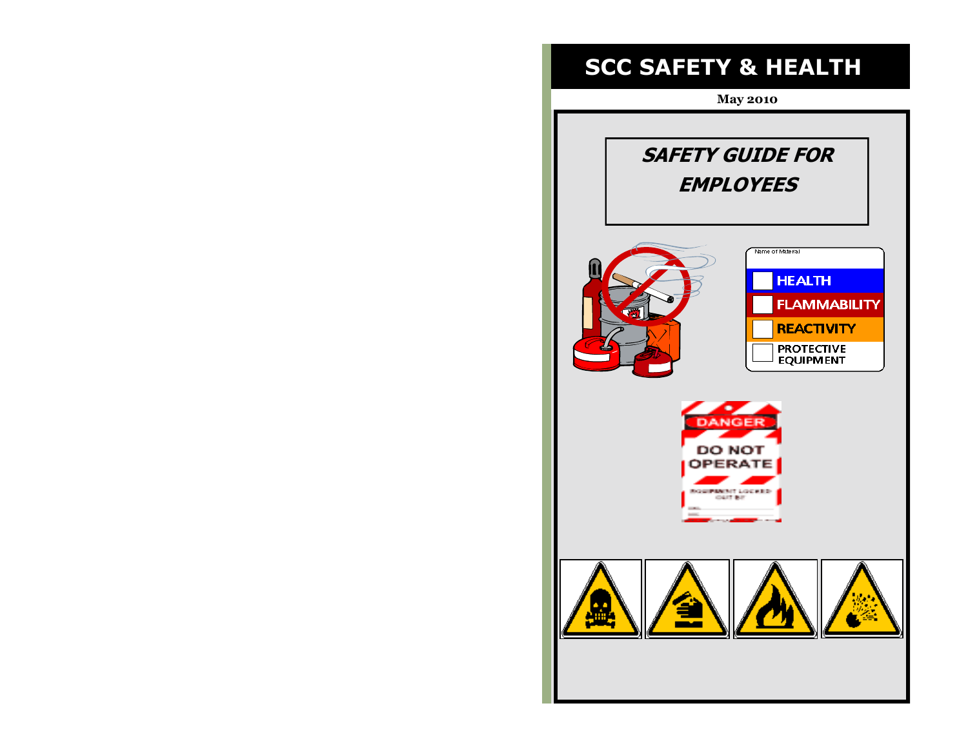# **SCC SAFETY & HEALTH**

**May 2010**

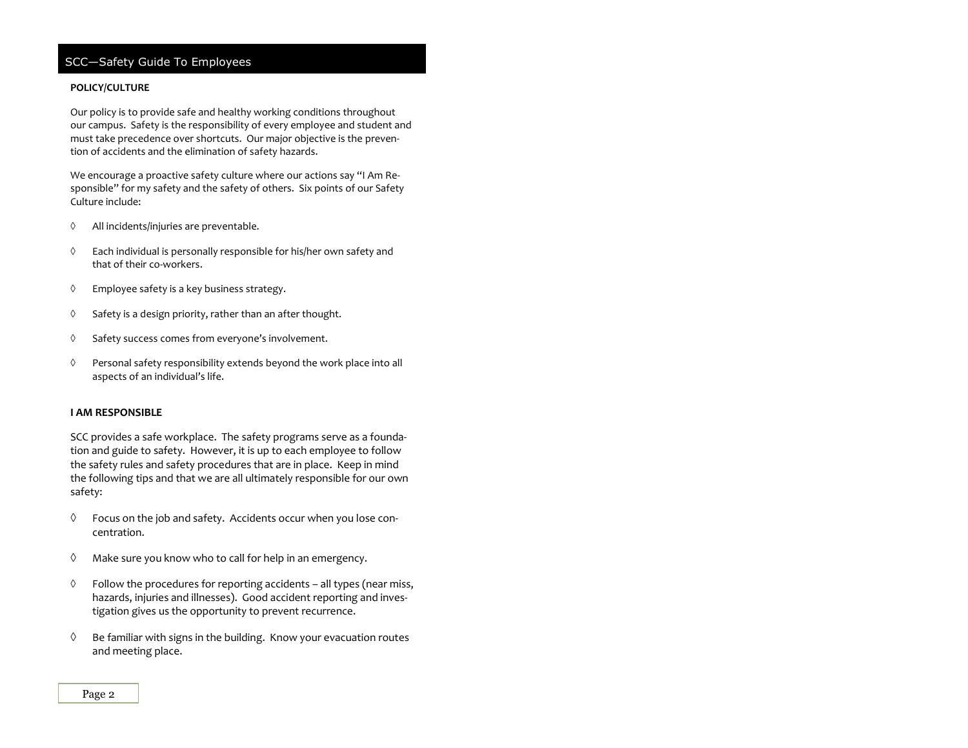### **POLICY/CULTURE**

Our policy is to provide safe and healthy working conditions throughout our campus. Safety is the responsibility of every employee and student and must take precedence over shortcuts. Our major objective is the prevention of accidents and the elimination of safety hazards.

We encourage a proactive safety culture where our actions say "I Am Responsible" for my safety and the safety of others. Six points of our Safety Culture include:

- All incidents/injuries are preventable.
- $\Diamond$  Each individual is personally responsible for his/her own safety and that of their co-workers.
- Employee safety is a key business strategy.
- $\Diamond$  Safety is a design priority, rather than an after thought.
- $\Diamond$  Safety success comes from everyone's involvement.
- Personal safety responsibility extends beyond the work place into all aspects of an individual's life.

### **I AM RESPONSIBLE**

SCC provides a safe workplace. The safety programs serve as a foundation and guide to safety. However, it is up to each employee to follow the safety rules and safety procedures that are in place. Keep in mind the following tips and that we are all ultimately responsible for our own safety:

- $\Diamond$  Focus on the job and safety. Accidents occur when you lose concentration.
- $\Diamond$  Make sure you know who to call for help in an emergency.
- $\Diamond$  Follow the procedures for reporting accidents all types (near miss, hazards, injuries and illnesses). Good accident reporting and investigation gives us the opportunity to prevent recurrence.
- $\Diamond$  Be familiar with signs in the building. Know your evacuation routes and meeting place.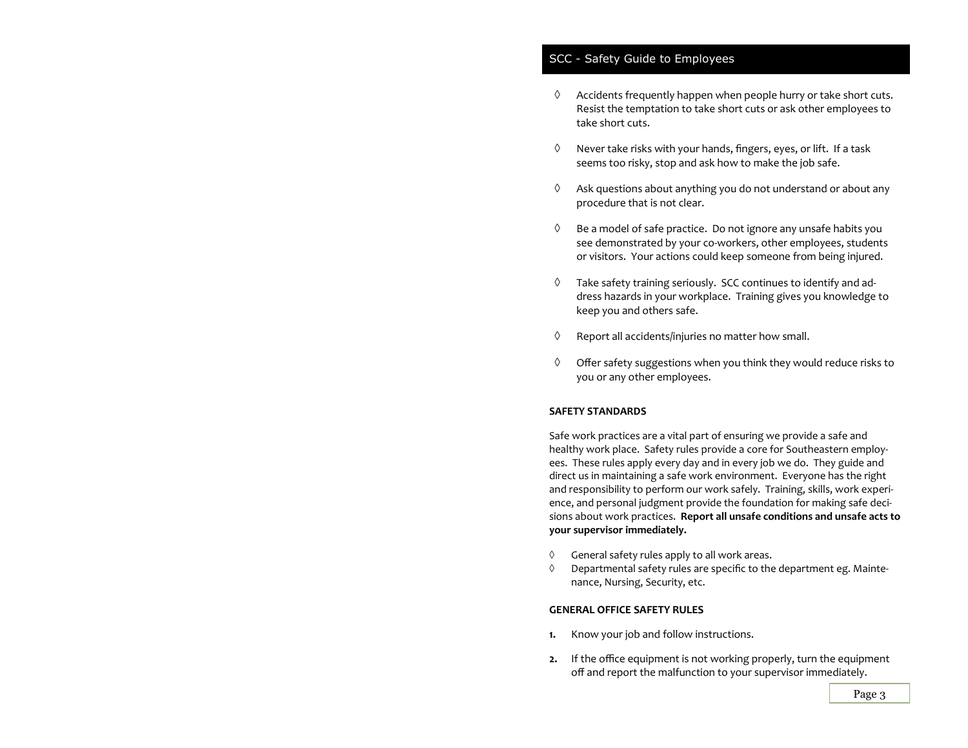### SCC - Safety Guide to Employees

- $\Diamond$  Accidents frequently happen when people hurry or take short cuts. Resist the temptation to take short cuts or ask other employees to take short cuts.
- $\Diamond$  Never take risks with your hands, fingers, eyes, or lift. If a task seems too risky, stop and ask how to make the job safe.
- $\Diamond$  Ask questions about anything you do not understand or about any procedure that is not clear.
- $\Diamond$  Be a model of safe practice. Do not ignore any unsafe habits you see demonstrated by your co-workers, other employees, students or visitors. Your actions could keep someone from being injured.
- $\Diamond$  Take safety training seriously. SCC continues to identify and address hazards in your workplace. Training gives you knowledge to keep you and others safe.
- $\Diamond$  Report all accidents/injuries no matter how small.
- $\Diamond$  Offer safety suggestions when you think they would reduce risks to you or any other employees.

### **SAFETY STANDARDS**

Safe work practices are a vital part of ensuring we provide a safe and healthy work place. Safety rules provide a core for Southeastern employees. These rules apply every day and in every job we do. They guide and direct us in maintaining a safe work environment. Everyone has the right and responsibility to perform our work safely. Training, skills, work experience, and personal judgment provide the foundation for making safe decisions about work practices. **Report all unsafe conditions and unsafe acts to your supervisor immediately.**

- $\Diamond$  General safety rules apply to all work areas.
- $\Diamond$  Departmental safety rules are specific to the department eg. Maintenance, Nursing, Security, etc.

### **GENERAL OFFICE SAFETY RULES**

- **1.** Know your job and follow instructions.
- **2.** If the office equipment is not working properly, turn the equipment off and report the malfunction to your supervisor immediately.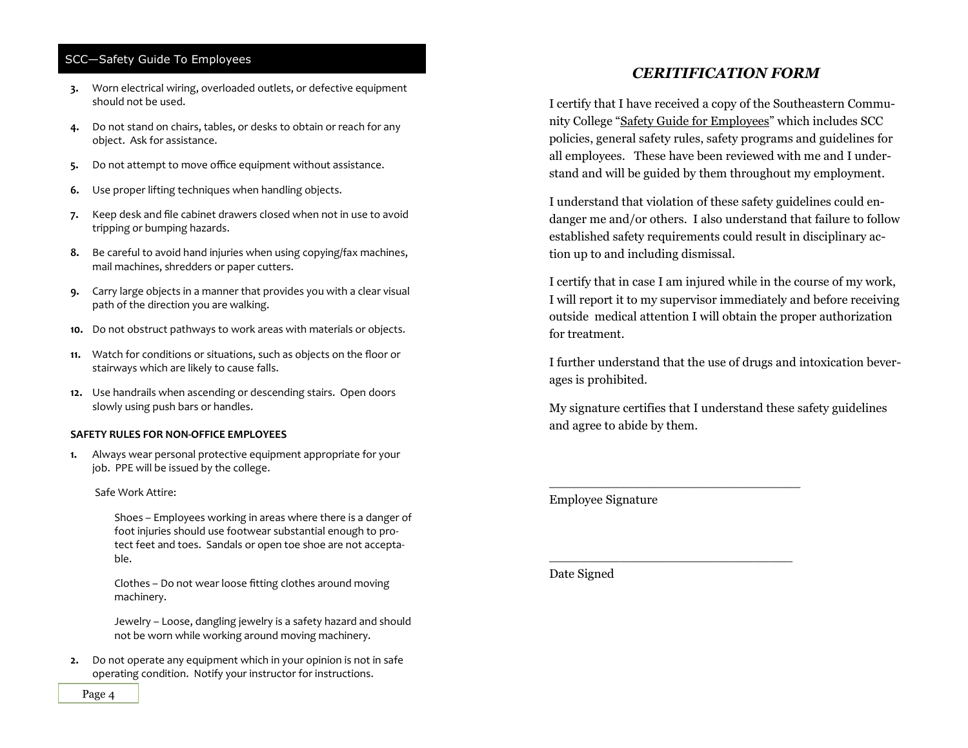- **3.** Worn electrical wiring, overloaded outlets, or defective equipment should not be used.
- **4.** Do not stand on chairs, tables, or desks to obtain or reach for any object. Ask for assistance.
- **5.** Do not attempt to move office equipment without assistance.
- **6.** Use proper lifting techniques when handling objects.
- **7.** Keep desk and file cabinet drawers closed when not in use to avoid tripping or bumping hazards.
- **8.** Be careful to avoid hand injuries when using copying/fax machines, mail machines, shredders or paper cutters.
- **9.** Carry large objects in a manner that provides you with a clear visual path of the direction you are walking.
- **10.** Do not obstruct pathways to work areas with materials or objects.
- **11.** Watch for conditions or situations, such as objects on the floor or stairways which are likely to cause falls.
- **12.** Use handrails when ascending or descending stairs. Open doors slowly using push bars or handles.

#### **SAFETY RULES FOR NON-OFFICE EMPLOYEES**

**1.** Always wear personal protective equipment appropriate for your job. PPE will be issued by the college.

### Safe Work Attire:

Shoes – Employees working in areas where there is a danger of foot injuries should use footwear substantial enough to protect feet and toes. Sandals or open toe shoe are not acceptable.

Clothes – Do not wear loose fitting clothes around moving machinery.

Jewelry – Loose, dangling jewelry is a safety hazard and should not be worn while working around moving machinery.

**2.** Do not operate any equipment which in your opinion is not in safe operating condition. Notify your instructor for instructions.

# *CERITIFICATION FORM*

I certify that I have received a copy of the Southeastern Community College "Safety Guide for Employees" which includes SCC policies, general safety rules, safety programs and guidelines for all employees. These have been reviewed with me and I understand and will be guided by them throughout my employment.

I understand that violation of these safety guidelines could endanger me and/or others. I also understand that failure to follow established safety requirements could result in disciplinary action up to and including dismissal.

I certify that in case I am injured while in the course of my work, I will report it to my supervisor immediately and before receiving outside medical attention I will obtain the proper authorization for treatment.

I further understand that the use of drugs and intoxication beverages is prohibited.

My signature certifies that I understand these safety guidelines and agree to abide by them.

\_\_\_\_\_\_\_\_\_\_\_\_\_\_\_\_\_\_\_\_\_\_\_\_\_\_\_\_\_\_\_\_

\_\_\_\_\_\_\_\_\_\_\_\_\_\_\_\_\_\_\_\_\_\_\_\_\_\_\_\_\_\_\_

Employee Signature

Date Signed

Page 4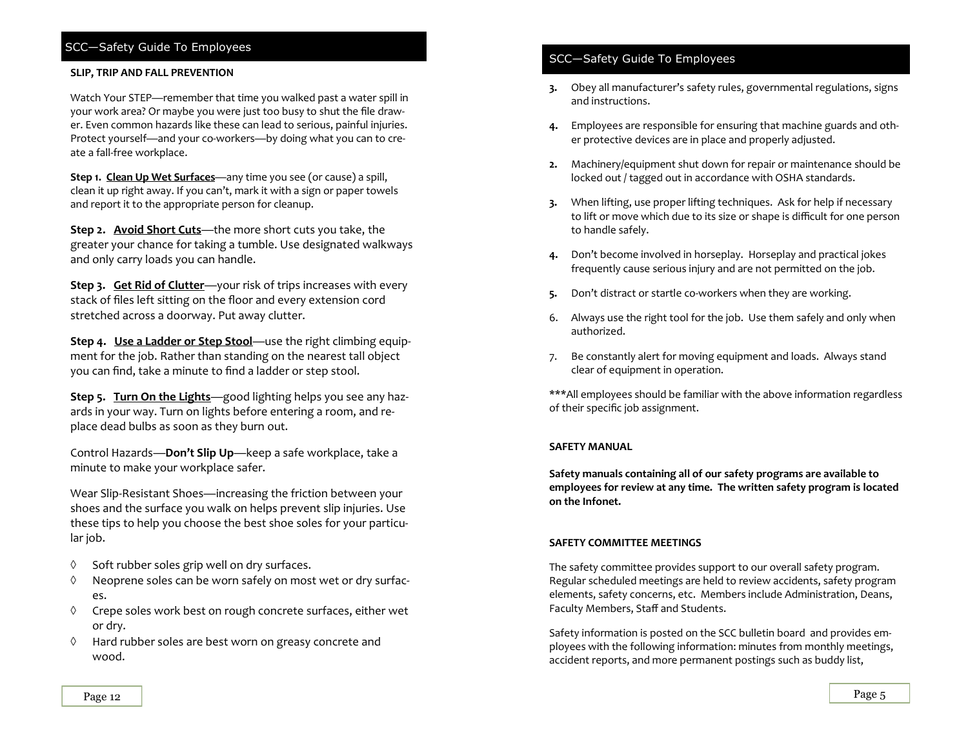### **SLIP, TRIP AND FALL PREVENTION**

Watch Your STEP—remember that time you walked past a water spill in your work area? Or maybe you were just too busy to shut the file drawer. Even common hazards like these can lead to serious, painful injuries. Protect yourself—and your co-workers—by doing what you can to create a fall-free workplace.

**Step 1. Clean Up Wet Surfaces**—any time you see (or cause) a spill, clean it up right away. If you can't, mark it with a sign or paper towels and report it to the appropriate person for cleanup.

**Step 2. Avoid Short Cuts**—the more short cuts you take, the greater your chance for taking a tumble. Use designated walkways and only carry loads you can handle.

**Step 3. Get Rid of Clutter**—your risk of trips increases with every stack of files left sitting on the floor and every extension cord stretched across a doorway. Put away clutter.

**Step 4.** Use a Ladder or Step Stool—use the right climbing equipment for the job. Rather than standing on the nearest tall object you can find, take a minute to find a ladder or step stool.

**Step 5. Turn On the Lights**—good lighting helps you see any hazards in your way. Turn on lights before entering a room, and replace dead bulbs as soon as they burn out.

Control Hazards—**Don't Slip Up**—keep a safe workplace, take a minute to make your workplace safer.

Wear Slip-Resistant Shoes—increasing the friction between your shoes and the surface you walk on helps prevent slip injuries. Use these tips to help you choose the best shoe soles for your particular job.

- $\Diamond$  Soft rubber soles grip well on dry surfaces.
- $\Diamond$  Neoprene soles can be worn safely on most wet or dry surfaces.
- $\Diamond$  Crepe soles work best on rough concrete surfaces, either wet or dry.
- $\Diamond$  Hard rubber soles are best worn on greasy concrete and wood.

# SCC—Safety Guide To Employees

- **3.** Obey all manufacturer's safety rules, governmental regulations, signs and instructions.
- **4.** Employees are responsible for ensuring that machine guards and other protective devices are in place and properly adjusted.
- **2.** Machinery/equipment shut down for repair or maintenance should be locked out / tagged out in accordance with OSHA standards.
- **3.** When lifting, use proper lifting techniques. Ask for help if necessary to lift or move which due to its size or shape is difficult for one person to handle safely.
- **4.** Don't become involved in horseplay. Horseplay and practical jokes frequently cause serious injury and are not permitted on the job.
- **5.** Don't distract or startle co-workers when they are working.
- 6. Always use the right tool for the job. Use them safely and only when authorized.
- 7. Be constantly alert for moving equipment and loads. Always stand clear of equipment in operation.

\*\*\*All employees should be familiar with the above information regardless of their specific job assignment.

#### **SAFETY MANUAL**

**Safety manuals containing all of our safety programs are available to employees for review at any time. The written safety program is located on the Infonet.**

### **SAFETY COMMITTEE MEETINGS**

The safety committee provides support to our overall safety program. Regular scheduled meetings are held to review accidents, safety program elements, safety concerns, etc. Members include Administration, Deans, Faculty Members, Staff and Students.

Safety information is posted on the SCC bulletin board and provides employees with the following information: minutes from monthly meetings, accident reports, and more permanent postings such as buddy list,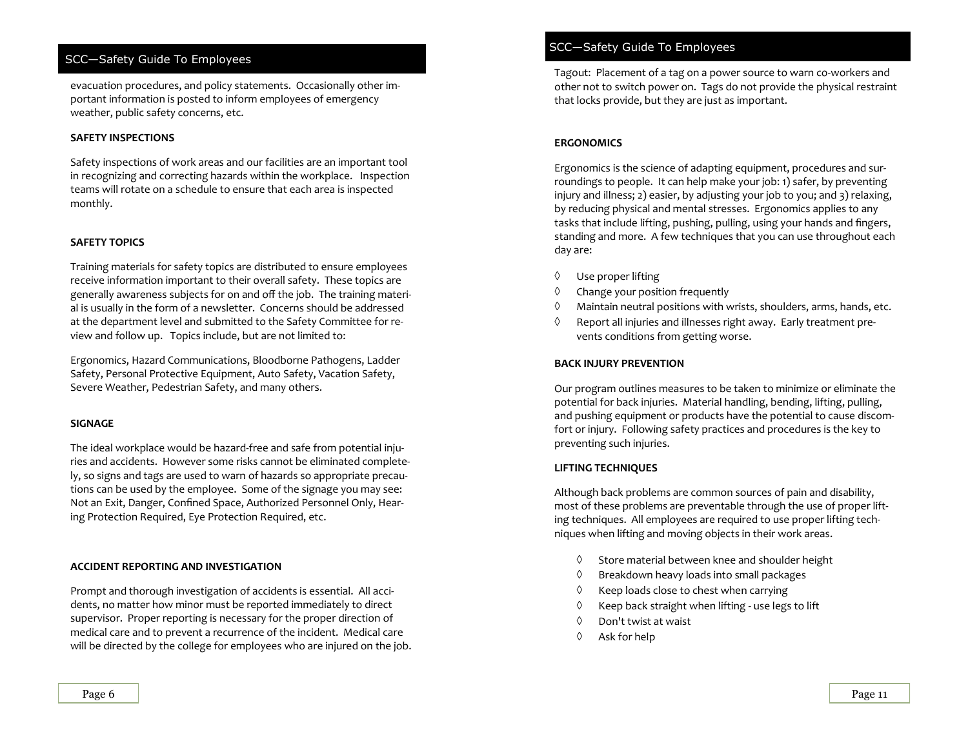evacuation procedures, and policy statements. Occasionally other important information is posted to inform employees of emergency weather, public safety concerns, etc.

### **SAFETY INSPECTIONS**

Safety inspections of work areas and our facilities are an important tool in recognizing and correcting hazards within the workplace. Inspection teams will rotate on a schedule to ensure that each area is inspected monthly.

### **SAFETY TOPICS**

Training materials for safety topics are distributed to ensure employees receive information important to their overall safety. These topics are generally awareness subjects for on and off the job. The training material is usually in the form of a newsletter. Concerns should be addressed at the department level and submitted to the Safety Committee for review and follow up. Topics include, but are not limited to:

Ergonomics, Hazard Communications, Bloodborne Pathogens, Ladder Safety, Personal Protective Equipment, Auto Safety, Vacation Safety, Severe Weather, Pedestrian Safety, and many others.

### **SIGNAGE**

The ideal workplace would be hazard-free and safe from potential injuries and accidents. However some risks cannot be eliminated completely, so signs and tags are used to warn of hazards so appropriate precautions can be used by the employee. Some of the signage you may see: Not an Exit, Danger, Confined Space, Authorized Personnel Only, Hearing Protection Required, Eye Protection Required, etc.

### **ACCIDENT REPORTING AND INVESTIGATION**

Prompt and thorough investigation of accidents is essential. All accidents, no matter how minor must be reported immediately to direct supervisor. Proper reporting is necessary for the proper direction of medical care and to prevent a recurrence of the incident. Medical care will be directed by the college for employees who are injured on the job.

# SCC—Safety Guide To Employees

Tagout: Placement of a tag on a power source to warn co-workers and other not to switch power on. Tags do not provide the physical restraint that locks provide, but they are just as important.

### **ERGONOMICS**

Ergonomics is the science of adapting equipment, procedures and surroundings to people. It can help make your job: 1) safer, by preventing injury and illness; 2) easier, by adjusting your job to you; and 3) relaxing, by reducing physical and mental stresses. Ergonomics applies to any tasks that include lifting, pushing, pulling, using your hands and fingers, standing and more. A few techniques that you can use throughout each day are:

- $\Diamond$  Use proper lifting
- $\Diamond$  Change your position frequently
- $\Diamond$  Maintain neutral positions with wrists, shoulders, arms, hands, etc.
- $\Diamond$  Report all injuries and illnesses right away. Early treatment prevents conditions from getting worse.

### **BACK INJURY PREVENTION**

Our program outlines measures to be taken to minimize or eliminate the potential for back injuries. Material handling, bending, lifting, pulling, and pushing equipment or products have the potential to cause discomfort or injury. Following safety practices and procedures is the key to preventing such injuries.

### **LIFTING TECHNIQUES**

Although back problems are common sources of pain and disability, most of these problems are preventable through the use of proper lifting techniques. All employees are required to use proper lifting techniques when lifting and moving objects in their work areas.

- $\Diamond$  Store material between knee and shoulder height
- $\Diamond$  Breakdown heavy loads into small packages
- $\Diamond$  Keep loads close to chest when carrying
- $\Diamond$  Keep back straight when lifting use legs to lift
- $\Diamond$  Don't twist at waist
- Ask for help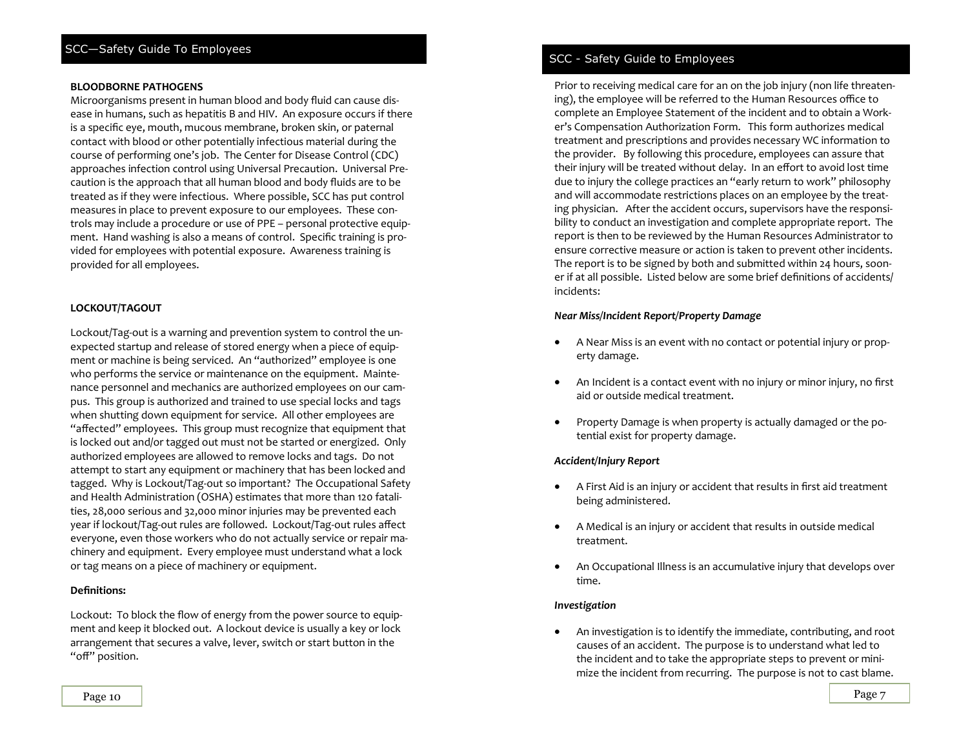### **BLOODBORNE PATHOGENS**

Microorganisms present in human blood and body fluid can cause disease in humans, such as hepatitis B and HIV. An exposure occurs if there is a specific eye, mouth, mucous membrane, broken skin, or paternal contact with blood or other potentially infectious material during the course of performing one's job. The Center for Disease Control (CDC) approaches infection control using Universal Precaution. Universal Precaution is the approach that all human blood and body fluids are to be treated as if they were infectious. Where possible, SCC has put control measures in place to prevent exposure to our employees. These controls may include a procedure or use of PPE – personal protective equipment. Hand washing is also a means of control. Specific training is provided for employees with potential exposure. Awareness training is provided for all employees.

### **LOCKOUT/TAGOUT**

Lockout/Tag-out is a warning and prevention system to control the unexpected startup and release of stored energy when a piece of equipment or machine is being serviced. An "authorized" employee is one who performs the service or maintenance on the equipment. Maintenance personnel and mechanics are authorized employees on our campus. This group is authorized and trained to use special locks and tags when shutting down equipment for service. All other employees are "affected" employees. This group must recognize that equipment that is locked out and/or tagged out must not be started or energized. Only authorized employees are allowed to remove locks and tags. Do not attempt to start any equipment or machinery that has been locked and tagged. Why is Lockout/Tag-out so important? The Occupational Safety and Health Administration (OSHA) estimates that more than 120 fatalities, 28,000 serious and 32,000 minor injuries may be prevented each year if lockout/Tag-out rules are followed. Lockout/Tag-out rules affect everyone, even those workers who do not actually service or repair machinery and equipment. Every employee must understand what a lock or tag means on a piece of machinery or equipment.

### **Definitions:**

Lockout: To block the flow of energy from the power source to equipment and keep it blocked out. A lockout device is usually a key or lock arrangement that secures a valve, lever, switch or start button in the "off" position.

### SCC - Safety Guide to Employees

Prior to receiving medical care for an on the job injury (non life threatening), the employee will be referred to the Human Resources office to complete an Employee Statement of the incident and to obtain a Worker's Compensation Authorization Form. This form authorizes medical treatment and prescriptions and provides necessary WC information to the provider. By following this procedure, employees can assure that their injury will be treated without delay. In an effort to avoid lost time due to injury the college practices an "early return to work" philosophy and will accommodate restrictions places on an employee by the treating physician. After the accident occurs, supervisors have the responsibility to conduct an investigation and complete appropriate report. The report is then to be reviewed by the Human Resources Administrator to ensure corrective measure or action is taken to prevent other incidents. The report is to be signed by both and submitted within 24 hours, sooner if at all possible. Listed below are some brief definitions of accidents/ incidents:

### *Near Miss/Incident Report/Property Damage*

- A Near Miss is an event with no contact or potential injury or property damage.
- An Incident is a contact event with no injury or minor injury, no first aid or outside medical treatment.
- Property Damage is when property is actually damaged or the potential exist for property damage.

#### *Accident/Injury Report*

- A First Aid is an injury or accident that results in first aid treatment being administered.
- A Medical is an injury or accident that results in outside medical treatment.
- An Occupational Illness is an accumulative injury that develops over time.

#### *Investigation*

 An investigation is to identify the immediate, contributing, and root causes of an accident. The purpose is to understand what led to the incident and to take the appropriate steps to prevent or minimize the incident from recurring. The purpose is not to cast blame.